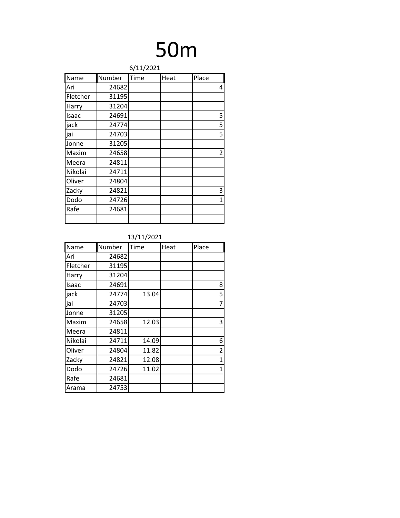### 50m

|          | 6/11/2021 |      |      |                |  |
|----------|-----------|------|------|----------------|--|
| Name     | Number    | Time | Heat | Place          |  |
| Ari      | 24682     |      |      | 4              |  |
| Fletcher | 31195     |      |      |                |  |
| Harry    | 31204     |      |      |                |  |
| Isaac    | 24691     |      |      | 5              |  |
| jack     | 24774     |      |      | 5              |  |
| jai      | 24703     |      |      | 5              |  |
| Jonne    | 31205     |      |      |                |  |
| Maxim    | 24658     |      |      | $\overline{2}$ |  |
| Meera    | 24811     |      |      |                |  |
| Nikolai  | 24711     |      |      |                |  |
| Oliver   | 24804     |      |      |                |  |
| Zacky    | 24821     |      |      | 3              |  |
| Dodo     | 24726     |      |      | 1              |  |
| Rafe     | 24681     |      |      |                |  |
|          |           |      |      |                |  |

| Name     | Number | Time  | Heat | Place          |
|----------|--------|-------|------|----------------|
| Ari      | 24682  |       |      |                |
| Fletcher | 31195  |       |      |                |
| Harry    | 31204  |       |      |                |
| Isaac    | 24691  |       |      | 8              |
| jack     | 24774  | 13.04 |      | 5              |
| jai      | 24703  |       |      | 7              |
| Jonne    | 31205  |       |      |                |
| Maxim    | 24658  | 12.03 |      | 3              |
| Meera    | 24811  |       |      |                |
| Nikolai  | 24711  | 14.09 |      | 6              |
| Oliver   | 24804  | 11.82 |      | $\overline{2}$ |
| Zacky    | 24821  | 12.08 |      | 1              |
| Dodo     | 24726  | 11.02 |      | 1              |
| Rafe     | 24681  |       |      |                |
| Arama    | 24753  |       |      |                |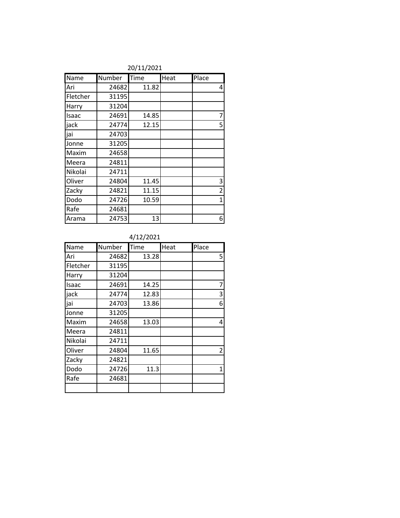|          | 201112021 |       |      |                |  |
|----------|-----------|-------|------|----------------|--|
| Name     | Number    | Time  | Heat | Place          |  |
| Ari      | 24682     | 11.82 |      | 4              |  |
| Fletcher | 31195     |       |      |                |  |
| Harry    | 31204     |       |      |                |  |
| Isaac    | 24691     | 14.85 |      | $\overline{7}$ |  |
| jack     | 24774     | 12.15 |      | 5              |  |
| jai      | 24703     |       |      |                |  |
| Jonne    | 31205     |       |      |                |  |
| Maxim    | 24658     |       |      |                |  |
| Meera    | 24811     |       |      |                |  |
| Nikolai  | 24711     |       |      |                |  |
| Oliver   | 24804     | 11.45 |      | $\mathbf{3}$   |  |
| Zacky    | 24821     | 11.15 |      | $\overline{2}$ |  |
| Dodo     | 24726     | 10.59 |      | $\mathbf{1}$   |  |
| Rafe     | 24681     |       |      |                |  |
| Arama    | 24753     | 13    |      | 6              |  |

#### 20/11/2021

#### 4/12/2021

| Name     | Number | Time  | Heat | Place |
|----------|--------|-------|------|-------|
| Ari      | 24682  | 13.28 |      | 5     |
| Fletcher | 31195  |       |      |       |
| Harry    | 31204  |       |      |       |
| Isaac    | 24691  | 14.25 |      | 7     |
| jack     | 24774  | 12.83 |      | 3     |
| jai      | 24703  | 13.86 |      | 6     |
| Jonne    | 31205  |       |      |       |
| Maxim    | 24658  | 13.03 |      | 4     |
| Meera    | 24811  |       |      |       |
| Nikolai  | 24711  |       |      |       |
| Oliver   | 24804  | 11.65 |      | 2     |
| Zacky    | 24821  |       |      |       |
| Dodo     | 24726  | 11.3  |      | 1     |
| Rafe     | 24681  |       |      |       |
|          |        |       |      |       |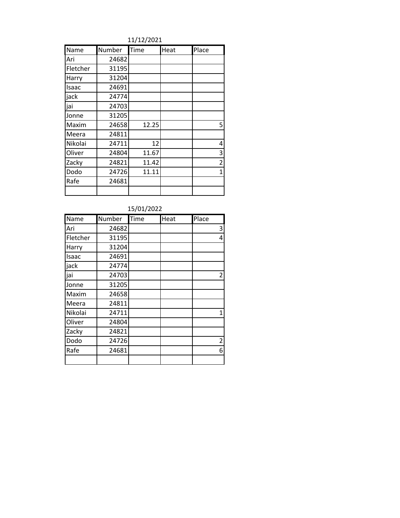11/12/2021

| Name     | Number | Time  | Heat | Place          |
|----------|--------|-------|------|----------------|
| Ari      | 24682  |       |      |                |
| Fletcher | 31195  |       |      |                |
| Harry    | 31204  |       |      |                |
| Isaac    | 24691  |       |      |                |
| jack     | 24774  |       |      |                |
| jai      | 24703  |       |      |                |
| Jonne    | 31205  |       |      |                |
| Maxim    | 24658  | 12.25 |      | 5              |
| Meera    | 24811  |       |      |                |
| Nikolai  | 24711  | 12    |      | 4              |
| Oliver   | 24804  | 11.67 |      | 3              |
| Zacky    | 24821  | 11.42 |      | $\overline{2}$ |
| Dodo     | 24726  | 11.11 |      | 1              |
| Rafe     | 24681  |       |      |                |
|          |        |       |      |                |

| 15/01/2022 |  |
|------------|--|

| Name     | Number | Time | Heat | Place          |
|----------|--------|------|------|----------------|
| Ari      | 24682  |      |      | 3              |
| Fletcher | 31195  |      |      | 4              |
| Harry    | 31204  |      |      |                |
| Isaac    | 24691  |      |      |                |
| jack     | 24774  |      |      |                |
| jai      | 24703  |      |      | 2              |
| Jonne    | 31205  |      |      |                |
| Maxim    | 24658  |      |      |                |
| Meera    | 24811  |      |      |                |
| Nikolai  | 24711  |      |      | 1              |
| Oliver   | 24804  |      |      |                |
| Zacky    | 24821  |      |      |                |
| Dodo     | 24726  |      |      | $\overline{2}$ |
| Rafe     | 24681  |      |      | 6              |
|          |        |      |      |                |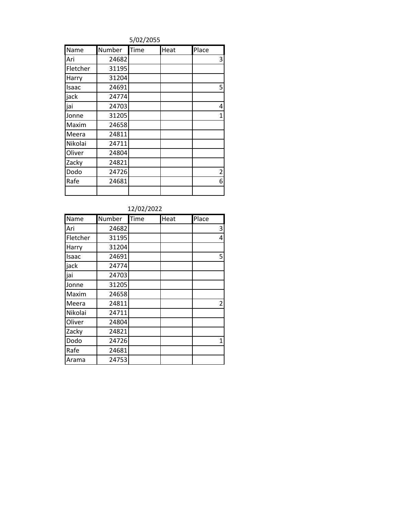5/02/2055

| Name     | Number | Time | Heat | Place          |
|----------|--------|------|------|----------------|
| Ari      | 24682  |      |      | 3              |
| Fletcher | 31195  |      |      |                |
| Harry    | 31204  |      |      |                |
| Isaac    | 24691  |      |      | 5              |
| jack     | 24774  |      |      |                |
| jai      | 24703  |      |      | 4              |
| Jonne    | 31205  |      |      | $\mathbf{1}$   |
| Maxim    | 24658  |      |      |                |
| Meera    | 24811  |      |      |                |
| Nikolai  | 24711  |      |      |                |
| Oliver   | 24804  |      |      |                |
| Zacky    | 24821  |      |      |                |
| Dodo     | 24726  |      |      | $\overline{2}$ |
| Rafe     | 24681  |      |      | 6              |
|          |        |      |      |                |

| 12/02/2022 |        |      |      |                |
|------------|--------|------|------|----------------|
| Name       | Number | Time | Heat | Place          |
| Ari        | 24682  |      |      | 3              |
| Fletcher   | 31195  |      |      | 4              |
| Harry      | 31204  |      |      |                |
| Isaac      | 24691  |      |      | 5              |
| jack       | 24774  |      |      |                |
| jai        | 24703  |      |      |                |
| Jonne      | 31205  |      |      |                |
| Maxim      | 24658  |      |      |                |
| Meera      | 24811  |      |      | $\overline{2}$ |
| Nikolai    | 24711  |      |      |                |
| Oliver     | 24804  |      |      |                |
| Zacky      | 24821  |      |      |                |
| Dodo       | 24726  |      |      | 1              |
| Rafe       | 24681  |      |      |                |
| Arama      | 24753  |      |      |                |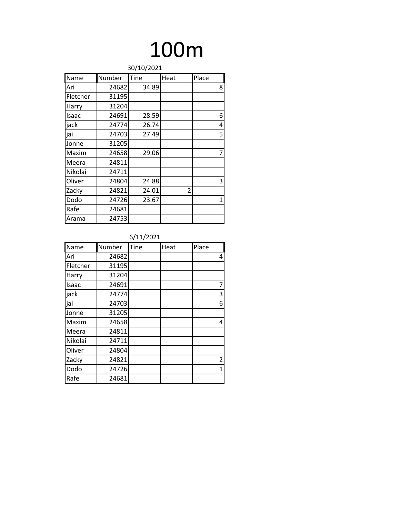### 100m

| 30/10/2021 |        |       |      |              |
|------------|--------|-------|------|--------------|
| Name       | Number | Tine  | Heat | Place        |
| Ari        | 24682  | 34.89 |      | 8            |
| Fletcher   | 31195  |       |      |              |
| Harry      | 31204  |       |      |              |
| Isaac      | 24691  | 28.59 |      | 6            |
| jack       | 24774  | 26.74 |      | 4            |
| jai        | 24703  | 27.49 |      | 5            |
| Jonne      | 31205  |       |      |              |
| Maxim      | 24658  | 29.06 |      | 7            |
| Meera      | 24811  |       |      |              |
| Nikolai    | 24711  |       |      |              |
| Oliver     | 24804  | 24.88 |      | 3            |
| Zacky      | 24821  | 24.01 | 2    |              |
| Dodo       | 24726  | 23.67 |      | $\mathbf{1}$ |
| Rafe       | 24681  |       |      |              |
| Arama      | 24753  |       |      |              |

| Name     | Number | Tine | Heat | Place          |
|----------|--------|------|------|----------------|
| Ari      | 24682  |      |      | 4              |
| Fletcher | 31195  |      |      |                |
| Harry    | 31204  |      |      |                |
| Isaac    | 24691  |      |      | 7              |
| jack     | 24774  |      |      | 3              |
| jai      | 24703  |      |      | 6              |
| Jonne    | 31205  |      |      |                |
| Maxim    | 24658  |      |      | $\overline{4}$ |
| Meera    | 24811  |      |      |                |
| Nikolai  | 24711  |      |      |                |
| Oliver   | 24804  |      |      |                |
| Zacky    | 24821  |      |      | $\overline{2}$ |
| Dodo     | 24726  |      |      | $\mathbf 1$    |
| Rafe     | 24681  |      |      |                |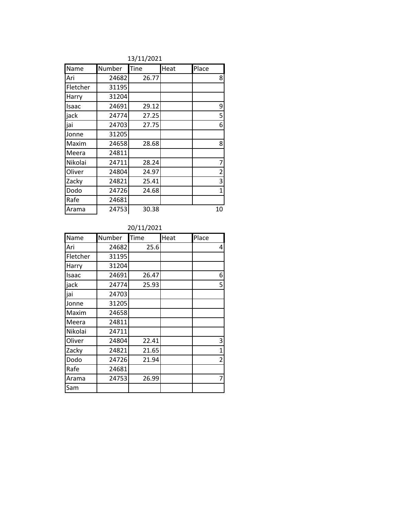|                | 13/11/ZUZ1    |              |             |       |  |
|----------------|---------------|--------------|-------------|-------|--|
| Name           | <b>Number</b> | <b>ITine</b> | <b>Heat</b> | Place |  |
| lAri           | 24682         | 26.77        |             |       |  |
| Fletcher       | 31195         |              |             |       |  |
| <b>I</b> Harry | 31204         |              |             |       |  |

13/11/2021

| Ari      | 24682 | 26.77 | 8              |
|----------|-------|-------|----------------|
| Fletcher | 31195 |       |                |
| Harry    | 31204 |       |                |
| Isaac    | 24691 | 29.12 | 9              |
| jack     | 24774 | 27.25 | 5              |
| jai      | 24703 | 27.75 | 6              |
| Jonne    | 31205 |       |                |
| Maxim    | 24658 | 28.68 | 8              |
| Meera    | 24811 |       |                |
| Nikolai  | 24711 | 28.24 | 7              |
| Oliver   | 24804 | 24.97 | $\overline{c}$ |
| Zacky    | 24821 | 25.41 | 3              |
| Dodo     | 24726 | 24.68 | $\mathbf 1$    |
| Rafe     | 24681 |       |                |
| Arama    | 24753 | 30.38 | 10             |

| Name     | Number | Time  | Heat | Place          |
|----------|--------|-------|------|----------------|
| Ari      | 24682  | 25.6  |      | 4              |
| Fletcher | 31195  |       |      |                |
| Harry    | 31204  |       |      |                |
| Isaac    | 24691  | 26.47 |      | 6              |
| jack     | 24774  | 25.93 |      | 5              |
| jai      | 24703  |       |      |                |
| Jonne    | 31205  |       |      |                |
| Maxim    | 24658  |       |      |                |
| Meera    | 24811  |       |      |                |
| Nikolai  | 24711  |       |      |                |
| Oliver   | 24804  | 22.41 |      | 3              |
| Zacky    | 24821  | 21.65 |      | $\mathbf 1$    |
| Dodo     | 24726  | 21.94 |      | $\overline{2}$ |
| Rafe     | 24681  |       |      |                |
| Arama    | 24753  | 26.99 |      | 7              |
| Sam      |        |       |      |                |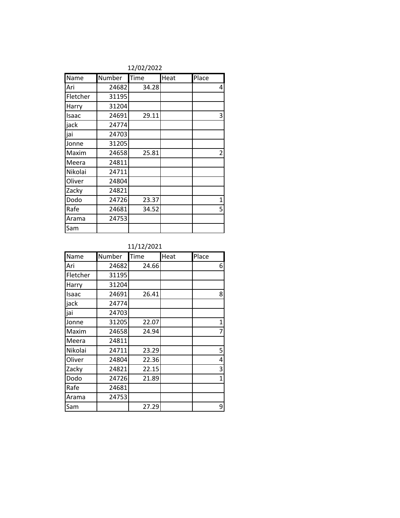|          | 12/02/2022 |       |      |                |  |
|----------|------------|-------|------|----------------|--|
| Name     | Number     | Time  | Heat | Place          |  |
| Ari      | 24682      | 34.28 |      | 4              |  |
| Fletcher | 31195      |       |      |                |  |
| Harry    | 31204      |       |      |                |  |
| Isaac    | 24691      | 29.11 |      | 3              |  |
| jack     | 24774      |       |      |                |  |
| jai      | 24703      |       |      |                |  |
| Jonne    | 31205      |       |      |                |  |
| Maxim    | 24658      | 25.81 |      | $\overline{2}$ |  |
| Meera    | 24811      |       |      |                |  |
| Nikolai  | 24711      |       |      |                |  |
| Oliver   | 24804      |       |      |                |  |
| Zacky    | 24821      |       |      |                |  |
| Dodo     | 24726      | 23.37 |      | 1              |  |
| Rafe     | 24681      | 34.52 |      | 5              |  |
| Arama    | 24753      |       |      |                |  |
| Sam      |            |       |      |                |  |

#### 12/02/2022

### 11/12/2021

| Name     | Number | Time  | Heat | Place |
|----------|--------|-------|------|-------|
| Ari      | 24682  | 24.66 |      | 6     |
| Fletcher | 31195  |       |      |       |
| Harry    | 31204  |       |      |       |
| Isaac    | 24691  | 26.41 |      | 8     |
| jack     | 24774  |       |      |       |
| jai      | 24703  |       |      |       |
| Jonne    | 31205  | 22.07 |      | 1     |
| Maxim    | 24658  | 24.94 |      | 7     |
| Meera    | 24811  |       |      |       |
| Nikolai  | 24711  | 23.29 |      | 5     |
| Oliver   | 24804  | 22.36 |      | 4     |
| Zacky    | 24821  | 22.15 |      | 3     |
| Dodo     | 24726  | 21.89 |      | 1     |
| Rafe     | 24681  |       |      |       |
| Arama    | 24753  |       |      |       |
| Sam      |        | 27.29 |      | 9     |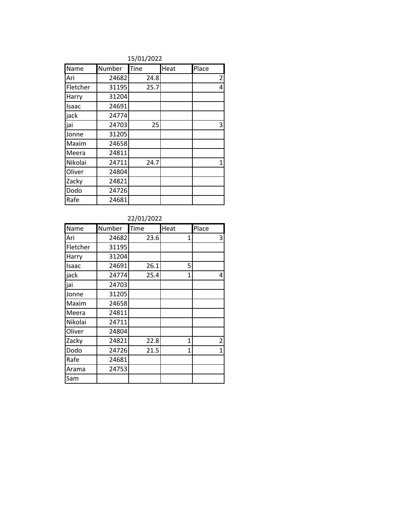| 15/01/2022 |
|------------|
|            |

| Name     | Number | Tine | Heat | Place          |
|----------|--------|------|------|----------------|
| Ari      | 24682  | 24.8 |      | $\overline{c}$ |
| Fletcher | 31195  | 25.7 |      | 4              |
| Harry    | 31204  |      |      |                |
| Isaac    | 24691  |      |      |                |
| jack     | 24774  |      |      |                |
| jai      | 24703  | 25   |      | 3              |
| Jonne    | 31205  |      |      |                |
| Maxim    | 24658  |      |      |                |
| Meera    | 24811  |      |      |                |
| Nikolai  | 24711  | 24.7 |      | 1              |
| Oliver   | 24804  |      |      |                |
| Zacky    | 24821  |      |      |                |
| Dodo     | 24726  |      |      |                |
| Rafe     | 24681  |      |      |                |

### 22/01/2022

| Name     | Number | Time | Heat         | Place |
|----------|--------|------|--------------|-------|
| Ari      | 24682  | 23.6 | 1            | 3     |
| Fletcher | 31195  |      |              |       |
| Harry    | 31204  |      |              |       |
| Isaac    | 24691  | 26.1 | 5            |       |
| jack     | 24774  | 25.4 | $\mathbf{1}$ | 4     |
| jai      | 24703  |      |              |       |
| Jonne    | 31205  |      |              |       |
| Maxim    | 24658  |      |              |       |
| Meera    | 24811  |      |              |       |
| Nikolai  | 24711  |      |              |       |
| Oliver   | 24804  |      |              |       |
| Zacky    | 24821  | 22.8 | 1            | 2     |
| Dodo     | 24726  | 21.5 | $\mathbf{1}$ | 1     |
| Rafe     | 24681  |      |              |       |
| Arama    | 24753  |      |              |       |
| Sam      |        |      |              |       |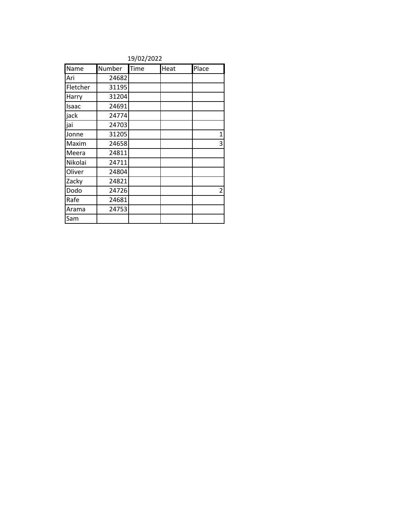|          | 1970 <i>LI</i> LULL |      |      |                |  |
|----------|---------------------|------|------|----------------|--|
| Name     | Number              | Time | Heat | Place          |  |
| Ari      | 24682               |      |      |                |  |
| Fletcher | 31195               |      |      |                |  |
| Harry    | 31204               |      |      |                |  |
| Isaac    | 24691               |      |      |                |  |
| jack     | 24774               |      |      |                |  |
| jai      | 24703               |      |      |                |  |
| Jonne    | 31205               |      |      | $\mathbf 1$    |  |
| Maxim    | 24658               |      |      | 3              |  |
| Meera    | 24811               |      |      |                |  |
| Nikolai  | 24711               |      |      |                |  |
| Oliver   | 24804               |      |      |                |  |
| Zacky    | 24821               |      |      |                |  |
| Dodo     | 24726               |      |      | $\overline{2}$ |  |
| Rafe     | 24681               |      |      |                |  |
| Arama    | 24753               |      |      |                |  |
| Sam      |                     |      |      |                |  |

19/02/2022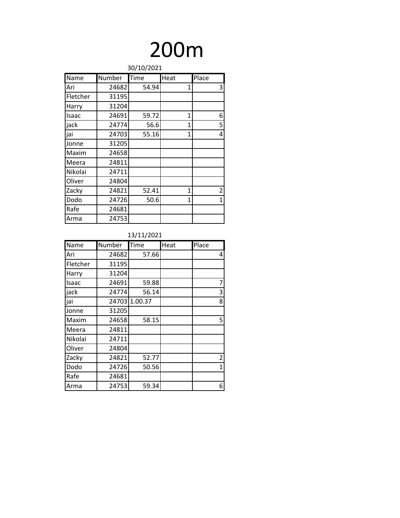## 200m

| 30/10/2021 |        |       |              |                |
|------------|--------|-------|--------------|----------------|
| Name       | Number | Time  | Heat         | Place          |
| Ari        | 24682  | 54.94 | 1            | 3              |
| Fletcher   | 31195  |       |              |                |
| Harry      | 31204  |       |              |                |
| Isaac      | 24691  | 59.72 | $\mathbf{1}$ | 6              |
| jack       | 24774  | 56.6  | 1            | 5              |
| jai        | 24703  | 55.16 | 1            | 4              |
| Jonne      | 31205  |       |              |                |
| Maxim      | 24658  |       |              |                |
| Meera      | 24811  |       |              |                |
| Nikolai    | 24711  |       |              |                |
| Oliver     | 24804  |       |              |                |
| Zacky      | 24821  | 52.41 | $\mathbf{1}$ | $\overline{2}$ |
| Dodo       | 24726  | 50.6  | $\mathbf{1}$ | $\mathbf{1}$   |
| Rafe       | 24681  |       |              |                |
| Arma       | 24753  |       |              |                |

| Name     | Number | Time    | Heat | Place          |
|----------|--------|---------|------|----------------|
| Ari      | 24682  | 57.66   |      | 4              |
| Fletcher | 31195  |         |      |                |
| Harry    | 31204  |         |      |                |
| Isaac    | 24691  | 59.88   |      | 7              |
| jack     | 24774  | 56.14   |      | 3              |
| jai      | 24703  | 1.00.37 |      | 8              |
| Jonne    | 31205  |         |      |                |
| Maxim    | 24658  | 58.15   |      | 5              |
| Meera    | 24811  |         |      |                |
| Nikolai  | 24711  |         |      |                |
| Oliver   | 24804  |         |      |                |
| Zacky    | 24821  | 52.77   |      | $\overline{2}$ |
| Dodo     | 24726  | 50.56   |      | $\mathbf{1}$   |
| Rafe     | 24681  |         |      |                |
| Arma     | 24753  | 59.34   |      | 6              |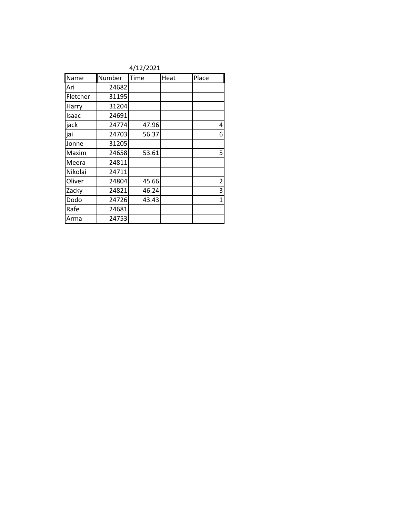|          | 47 I 47 404 I |       |      |                |  |
|----------|---------------|-------|------|----------------|--|
| Name     | Number        | Time  | Heat | Place          |  |
| Ari      | 24682         |       |      |                |  |
| Fletcher | 31195         |       |      |                |  |
| Harry    | 31204         |       |      |                |  |
| Isaac    | 24691         |       |      |                |  |
| jack     | 24774         | 47.96 |      | 4              |  |
| jai      | 24703         | 56.37 |      | 6              |  |
| Jonne    | 31205         |       |      |                |  |
| Maxim    | 24658         | 53.61 |      | 5              |  |
| Meera    | 24811         |       |      |                |  |
| Nikolai  | 24711         |       |      |                |  |
| Oliver   | 24804         | 45.66 |      | $\overline{2}$ |  |
| Zacky    | 24821         | 46.24 |      | 3              |  |
| Dodo     | 24726         | 43.43 |      | $\mathbf{1}$   |  |
| Rafe     | 24681         |       |      |                |  |
| Arma     | 24753         |       |      |                |  |

4/12/2021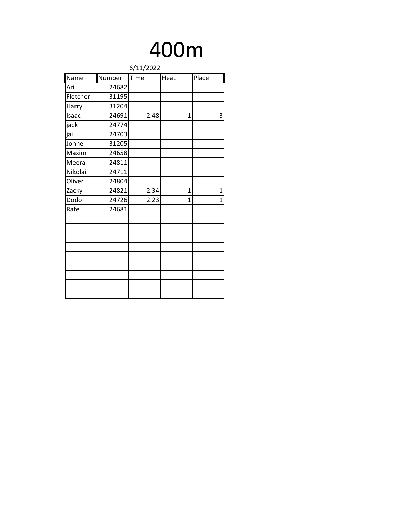### 400m

|          | 6/11/2022 |                    |      |              |  |
|----------|-----------|--------------------|------|--------------|--|
| Name     | Number    | $\overline{T}$ ime | Heat | Place        |  |
| Ari      | 24682     |                    |      |              |  |
| Fletcher | 31195     |                    |      |              |  |
| Harry    | 31204     |                    |      |              |  |
| Isaac    | 24691     | 2.48               | 1    | 3            |  |
| jack     | 24774     |                    |      |              |  |
| jai      | 24703     |                    |      |              |  |
| Jonne    | 31205     |                    |      |              |  |
| Maxim    | 24658     |                    |      |              |  |
| Meera    | 24811     |                    |      |              |  |
| Nikolai  | 24711     |                    |      |              |  |
| Oliver   | 24804     |                    |      |              |  |
| Zacky    | 24821     | 2.34               | 1    | $\mathbf{1}$ |  |
| Dodo     | 24726     | 2.23               | 1    | $\mathbf{1}$ |  |
| Rafe     | 24681     |                    |      |              |  |
|          |           |                    |      |              |  |
|          |           |                    |      |              |  |
|          |           |                    |      |              |  |
|          |           |                    |      |              |  |
|          |           |                    |      |              |  |
|          |           |                    |      |              |  |
|          |           |                    |      |              |  |
|          |           |                    |      |              |  |
|          |           |                    |      |              |  |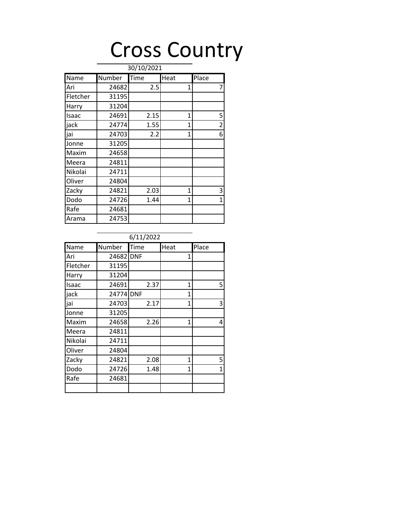### Cross Country

| Name     | Number | Time | Heat         | Place |
|----------|--------|------|--------------|-------|
| Ari      | 24682  | 2.5  | 1            | 7     |
| Fletcher | 31195  |      |              |       |
| Harry    | 31204  |      |              |       |
| Isaac    | 24691  | 2.15 | 1            | 5     |
| jack     | 24774  | 1.55 | 1            | 2     |
| jai      | 24703  | 2.2  | 1            | 6     |
| Jonne    | 31205  |      |              |       |
| Maxim    | 24658  |      |              |       |
| Meera    | 24811  |      |              |       |
| Nikolai  | 24711  |      |              |       |
| Oliver   | 24804  |      |              |       |
| Zacky    | 24821  | 2.03 | 1            | 3     |
| Dodo     | 24726  | 1.44 | $\mathbf{1}$ | 1     |
| Rafe     | 24681  |      |              |       |
| Arama    | 24753  |      |              |       |

### Name Number Time Heat Place Ari | 24682 DNF | 1 Fletcher | 31195 Harry 31204 Isaac 24691 2.37 1 5 jack 24774 DNF 1 jai 24703 2.17 1 3 Jonne 31205 Maxim 24658 2.26 1 4 Meera 24811 Nikolai 24711 Oliver 24804 Zacky 24821 2.08 1 5 Dodo 24726 1.48 1 1 Rafe 24681 6/11/2022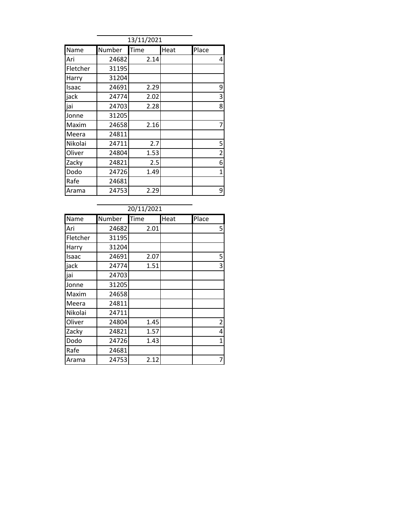| 13/11/2021 |        |      |      |                |  |  |
|------------|--------|------|------|----------------|--|--|
| Name       | Number | Time | Heat | Place          |  |  |
| Ari        | 24682  | 2.14 |      | 4              |  |  |
| Fletcher   | 31195  |      |      |                |  |  |
| Harry      | 31204  |      |      |                |  |  |
| Isaac      | 24691  | 2.29 |      | 9              |  |  |
| jack       | 24774  | 2.02 |      | 3              |  |  |
| jai        | 24703  | 2.28 |      | 8              |  |  |
| Jonne      | 31205  |      |      |                |  |  |
| Maxim      | 24658  | 2.16 |      | 7              |  |  |
| Meera      | 24811  |      |      |                |  |  |
| Nikolai    | 24711  | 2.7  |      | 5              |  |  |
| Oliver     | 24804  | 1.53 |      | $\overline{2}$ |  |  |
| Zacky      | 24821  | 2.5  |      | 6              |  |  |
| Dodo       | 24726  | 1.49 |      | 1              |  |  |
| Rafe       | 24681  |      |      |                |  |  |
| Arama      | 24753  | 2.29 |      | 9              |  |  |

|          | 20/11/2021 |      |      |                |  |  |  |  |
|----------|------------|------|------|----------------|--|--|--|--|
| Name     | Number     | Time | Heat | Place          |  |  |  |  |
| Ari      | 24682      | 2.01 |      | 5              |  |  |  |  |
| Fletcher | 31195      |      |      |                |  |  |  |  |
| Harry    | 31204      |      |      |                |  |  |  |  |
| Isaac    | 24691      | 2.07 |      | 5              |  |  |  |  |
| jack     | 24774      | 1.51 |      | 3              |  |  |  |  |
| jai      | 24703      |      |      |                |  |  |  |  |
| Jonne    | 31205      |      |      |                |  |  |  |  |
| Maxim    | 24658      |      |      |                |  |  |  |  |
| Meera    | 24811      |      |      |                |  |  |  |  |
| Nikolai  | 24711      |      |      |                |  |  |  |  |
| Oliver   | 24804      | 1.45 |      | $\overline{2}$ |  |  |  |  |
| Zacky    | 24821      | 1.57 |      | 4              |  |  |  |  |
| Dodo     | 24726      | 1.43 |      | $\mathbf{1}$   |  |  |  |  |
| Rafe     | 24681      |      |      |                |  |  |  |  |
| Arama    | 24753      | 2.12 |      |                |  |  |  |  |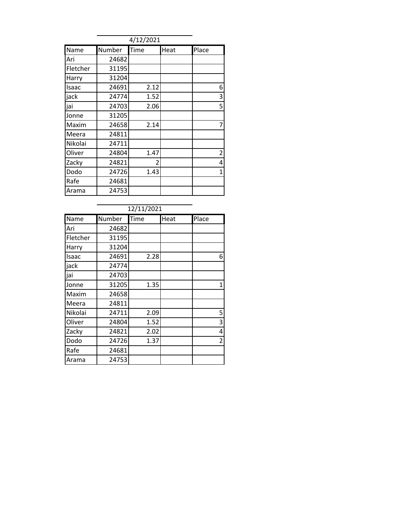|          | 4/12/2021 |      |      |                |  |  |
|----------|-----------|------|------|----------------|--|--|
| Name     | Number    | Time | Heat | Place          |  |  |
| Ari      | 24682     |      |      |                |  |  |
| Fletcher | 31195     |      |      |                |  |  |
| Harry    | 31204     |      |      |                |  |  |
| Isaac    | 24691     | 2.12 |      | 6              |  |  |
| jack     | 24774     | 1.52 |      | 3              |  |  |
| jai      | 24703     | 2.06 |      | 5              |  |  |
| Jonne    | 31205     |      |      |                |  |  |
| Maxim    | 24658     | 2.14 |      | 7              |  |  |
| Meera    | 24811     |      |      |                |  |  |
| Nikolai  | 24711     |      |      |                |  |  |
| Oliver   | 24804     | 1.47 |      | $\overline{2}$ |  |  |
| Zacky    | 24821     | 2    |      | 4              |  |  |
| Dodo     | 24726     | 1.43 |      | 1              |  |  |
| Rafe     | 24681     |      |      |                |  |  |
| Arama    | 24753     |      |      |                |  |  |

|          | 12/11/2021 |      |      |       |  |  |
|----------|------------|------|------|-------|--|--|
| Name     | Number     | Time | Heat | Place |  |  |
| Ari      | 24682      |      |      |       |  |  |
| Fletcher | 31195      |      |      |       |  |  |
| Harry    | 31204      |      |      |       |  |  |
| Isaac    | 24691      | 2.28 |      | 6     |  |  |
| jack     | 24774      |      |      |       |  |  |
| jai      | 24703      |      |      |       |  |  |
| Jonne    | 31205      | 1.35 |      | 1     |  |  |
| Maxim    | 24658      |      |      |       |  |  |
| Meera    | 24811      |      |      |       |  |  |
| Nikolai  | 24711      | 2.09 |      | 5     |  |  |
| Oliver   | 24804      | 1.52 |      | 3     |  |  |
| Zacky    | 24821      | 2.02 |      | 4     |  |  |
| Dodo     | 24726      | 1.37 |      | 2     |  |  |
| Rafe     | 24681      |      |      |       |  |  |
| Arama    | 24753      |      |      |       |  |  |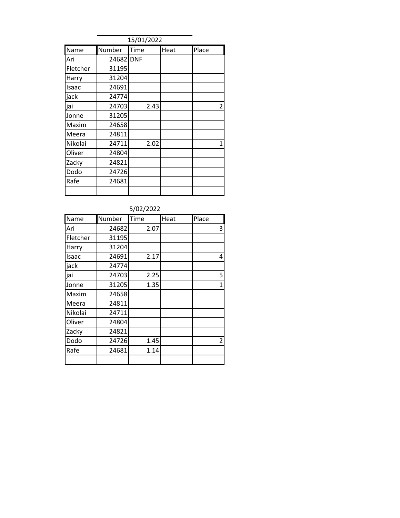| 15/01/2022 |           |      |      |       |  |  |
|------------|-----------|------|------|-------|--|--|
| Name       | Number    | Time | Heat | Place |  |  |
| Ari        | 24682 DNF |      |      |       |  |  |
| Fletcher   | 31195     |      |      |       |  |  |
| Harry      | 31204     |      |      |       |  |  |
| Isaac      | 24691     |      |      |       |  |  |
| jack       | 24774     |      |      |       |  |  |
| jai        | 24703     | 2.43 |      | 2     |  |  |
| Jonne      | 31205     |      |      |       |  |  |
| Maxim      | 24658     |      |      |       |  |  |
| Meera      | 24811     |      |      |       |  |  |
| Nikolai    | 24711     | 2.02 |      | 1     |  |  |
| Oliver     | 24804     |      |      |       |  |  |
| Zacky      | 24821     |      |      |       |  |  |
| Dodo       | 24726     |      |      |       |  |  |
| Rafe       | 24681     |      |      |       |  |  |
|            |           |      |      |       |  |  |

| 5/02/2022 |        |      |      |                |  |
|-----------|--------|------|------|----------------|--|
| Name      | Number | Time | Heat | Place          |  |
| lAri      | 24682  | 2.07 |      | 3              |  |
| Fletcher  | 31195  |      |      |                |  |
| Harry     | 31204  |      |      |                |  |
| Isaac     | 24691  | 2.17 |      | 4              |  |
| jack      | 24774  |      |      |                |  |
| jai       | 24703  | 2.25 |      | 5              |  |
| Jonne     | 31205  | 1.35 |      | $\overline{1}$ |  |
| Maxim     | 24658  |      |      |                |  |
| Meera     | 24811  |      |      |                |  |
| Nikolai   | 24711  |      |      |                |  |
| Oliver    | 24804  |      |      |                |  |
| Zacky     | 24821  |      |      |                |  |
| Dodo      | 24726  | 1.45 |      | $\overline{2}$ |  |
| Rafe      | 24681  | 1.14 |      |                |  |
|           |        |      |      |                |  |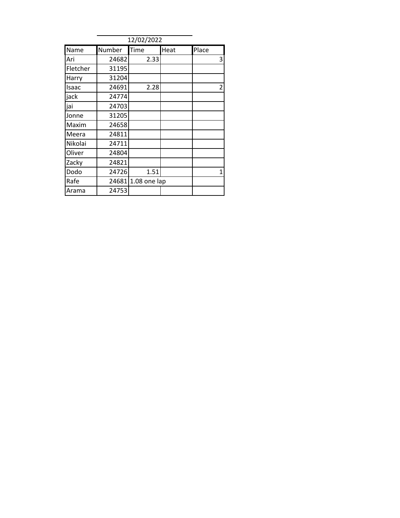|          | 12/02/2022 |              |      |                |  |  |  |
|----------|------------|--------------|------|----------------|--|--|--|
| Name     | Number     | Time         | Heat | Place          |  |  |  |
| Ari      | 24682      | 2.33         |      | 3              |  |  |  |
| Fletcher | 31195      |              |      |                |  |  |  |
| Harry    | 31204      |              |      |                |  |  |  |
| Isaac    | 24691      | 2.28         |      | $\overline{2}$ |  |  |  |
| jack     | 24774      |              |      |                |  |  |  |
| jai      | 24703      |              |      |                |  |  |  |
| Jonne    | 31205      |              |      |                |  |  |  |
| Maxim    | 24658      |              |      |                |  |  |  |
| Meera    | 24811      |              |      |                |  |  |  |
| Nikolai  | 24711      |              |      |                |  |  |  |
| Oliver   | 24804      |              |      |                |  |  |  |
| Zacky    | 24821      |              |      |                |  |  |  |
| Dodo     | 24726      | 1.51         |      | $\mathbf{1}$   |  |  |  |
| Rafe     | 24681      | 1.08 one lap |      |                |  |  |  |
| Arama    | 24753      |              |      |                |  |  |  |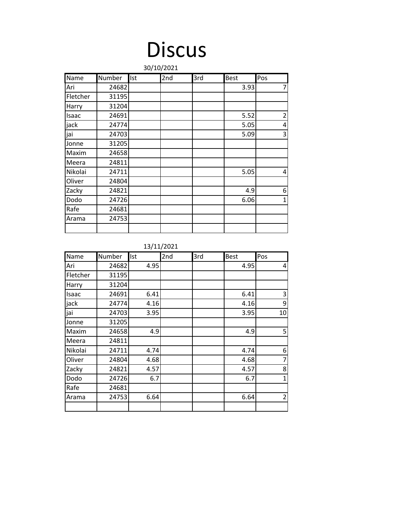# Discus

|          | 30/10/2021 |            |                 |     |             |                |  |
|----------|------------|------------|-----------------|-----|-------------|----------------|--|
| Name     | Number     | <b>Ist</b> | 2 <sub>nd</sub> | 3rd | <b>Best</b> | Pos            |  |
| Ari      | 24682      |            |                 |     | 3.93        | $\overline{7}$ |  |
| Fletcher | 31195      |            |                 |     |             |                |  |
| Harry    | 31204      |            |                 |     |             |                |  |
| Isaac    | 24691      |            |                 |     | 5.52        | $\overline{2}$ |  |
| jack     | 24774      |            |                 |     | 5.05        | 4              |  |
| jai      | 24703      |            |                 |     | 5.09        | 3              |  |
| Jonne    | 31205      |            |                 |     |             |                |  |
| Maxim    | 24658      |            |                 |     |             |                |  |
| Meera    | 24811      |            |                 |     |             |                |  |
| Nikolai  | 24711      |            |                 |     | 5.05        | 4              |  |
| Oliver   | 24804      |            |                 |     |             |                |  |
| Zacky    | 24821      |            |                 |     | 4.9         | 6              |  |
| Dodo     | 24726      |            |                 |     | 6.06        | $\overline{1}$ |  |
| Rafe     | 24681      |            |                 |     |             |                |  |
| Arama    | 24753      |            |                 |     |             |                |  |
|          |            |            |                 |     |             |                |  |

13/11/2021

| Name     | Number | Ist  | 2nd | 3rd | <b>Best</b> | Pos            |
|----------|--------|------|-----|-----|-------------|----------------|
| Ari      | 24682  | 4.95 |     |     | 4.95        | 4              |
| Fletcher | 31195  |      |     |     |             |                |
| Harry    | 31204  |      |     |     |             |                |
| Isaac    | 24691  | 6.41 |     |     | 6.41        | 3              |
| jack     | 24774  | 4.16 |     |     | 4.16        | 9              |
| jai      | 24703  | 3.95 |     |     | 3.95        | 10             |
| Jonne    | 31205  |      |     |     |             |                |
| Maxim    | 24658  | 4.9  |     |     | 4.9         | 5              |
| Meera    | 24811  |      |     |     |             |                |
| Nikolai  | 24711  | 4.74 |     |     | 4.74        | 6              |
| Oliver   | 24804  | 4.68 |     |     | 4.68        | 7              |
| Zacky    | 24821  | 4.57 |     |     | 4.57        | 8              |
| Dodo     | 24726  | 6.7  |     |     | 6.7         | $\mathbf{1}$   |
| Rafe     | 24681  |      |     |     |             |                |
| Arama    | 24753  | 6.64 |     |     | 6.64        | $\overline{2}$ |
|          |        |      |     |     |             |                |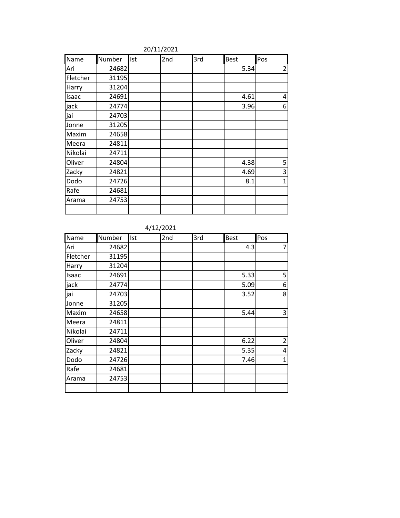| Name     | Number | Ist | 2nd | 3rd | <b>Best</b> | Pos            |
|----------|--------|-----|-----|-----|-------------|----------------|
| Ari      | 24682  |     |     |     | 5.34        | $\overline{2}$ |
| Fletcher | 31195  |     |     |     |             |                |
| Harry    | 31204  |     |     |     |             |                |
| Isaac    | 24691  |     |     |     | 4.61        | 4              |
| jack     | 24774  |     |     |     | 3.96        | 6              |
| jai      | 24703  |     |     |     |             |                |
| Jonne    | 31205  |     |     |     |             |                |
| Maxim    | 24658  |     |     |     |             |                |
| Meera    | 24811  |     |     |     |             |                |
| Nikolai  | 24711  |     |     |     |             |                |
| Oliver   | 24804  |     |     |     | 4.38        | 5              |
| Zacky    | 24821  |     |     |     | 4.69        | 3              |
| Dodo     | 24726  |     |     |     | 8.1         | $\mathbf{1}$   |
| Rafe     | 24681  |     |     |     |             |                |
| Arama    | 24753  |     |     |     |             |                |
|          |        |     |     |     |             |                |

20/11/2021

| Name     | Number | Ist | 2nd | 3rd | <b>Best</b> | Pos            |
|----------|--------|-----|-----|-----|-------------|----------------|
| Ari      | 24682  |     |     |     | 4.3         | $\overline{7}$ |
| Fletcher | 31195  |     |     |     |             |                |
| Harry    | 31204  |     |     |     |             |                |
| Isaac    | 24691  |     |     |     | 5.33        | 5              |
| jack     | 24774  |     |     |     | 5.09        | 6              |
| jai      | 24703  |     |     |     | 3.52        | 8              |
| Jonne    | 31205  |     |     |     |             |                |
| Maxim    | 24658  |     |     |     | 5.44        | 3              |
| Meera    | 24811  |     |     |     |             |                |
| Nikolai  | 24711  |     |     |     |             |                |
| Oliver   | 24804  |     |     |     | 6.22        | $\overline{2}$ |
| Zacky    | 24821  |     |     |     | 5.35        | 4              |
| Dodo     | 24726  |     |     |     | 7.46        | $\mathbf{1}$   |
| Rafe     | 24681  |     |     |     |             |                |
| Arama    | 24753  |     |     |     |             |                |
|          |        |     |     |     |             |                |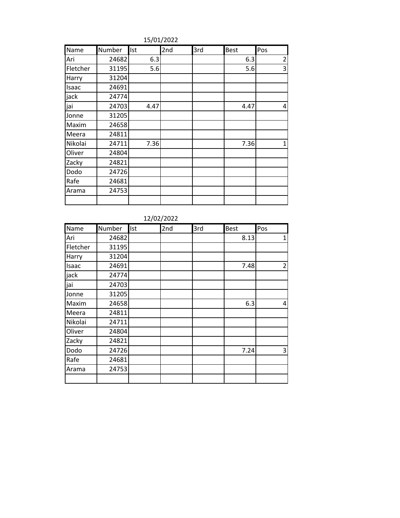| Name     | Number | Ist  | 2nd | 3rd | <b>Best</b> | Pos            |
|----------|--------|------|-----|-----|-------------|----------------|
| Ari      | 24682  | 6.3  |     |     | 6.3         | $\overline{2}$ |
| Fletcher | 31195  | 5.6  |     |     | 5.6         | 3              |
| Harry    | 31204  |      |     |     |             |                |
| Isaac    | 24691  |      |     |     |             |                |
| jack     | 24774  |      |     |     |             |                |
| jai      | 24703  | 4.47 |     |     | 4.47        | 4              |
| Jonne    | 31205  |      |     |     |             |                |
| Maxim    | 24658  |      |     |     |             |                |
| Meera    | 24811  |      |     |     |             |                |
| Nikolai  | 24711  | 7.36 |     |     | 7.36        | $\mathbf 1$    |
| Oliver   | 24804  |      |     |     |             |                |
| Zacky    | 24821  |      |     |     |             |                |
| Dodo     | 24726  |      |     |     |             |                |
| Rafe     | 24681  |      |     |     |             |                |
| Arama    | 24753  |      |     |     |             |                |
|          |        |      |     |     |             |                |

15/01/2022

12/02/2022

| Name     | Number | Ist | 2nd | 3rd | <b>Best</b> | Pos |
|----------|--------|-----|-----|-----|-------------|-----|
| Ari      | 24682  |     |     |     | 8.13        | 1   |
| Fletcher | 31195  |     |     |     |             |     |
| Harry    | 31204  |     |     |     |             |     |
| Isaac    | 24691  |     |     |     | 7.48        | 2   |
| jack     | 24774  |     |     |     |             |     |
| jai      | 24703  |     |     |     |             |     |
| Jonne    | 31205  |     |     |     |             |     |
| Maxim    | 24658  |     |     |     | 6.3         | 4   |
| Meera    | 24811  |     |     |     |             |     |
| Nikolai  | 24711  |     |     |     |             |     |
| Oliver   | 24804  |     |     |     |             |     |
| Zacky    | 24821  |     |     |     |             |     |
| Dodo     | 24726  |     |     |     | 7.24        | 3   |
| Rafe     | 24681  |     |     |     |             |     |
| Arama    | 24753  |     |     |     |             |     |
|          |        |     |     |     |             |     |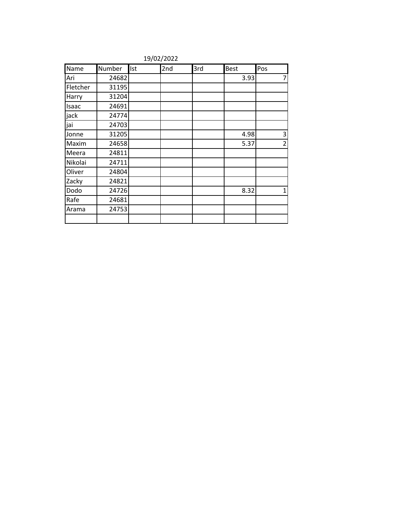| Name     | Number | Ist | 2nd | 3rd | Best | Pos            |
|----------|--------|-----|-----|-----|------|----------------|
| Ari      | 24682  |     |     |     | 3.93 | 7              |
| Fletcher | 31195  |     |     |     |      |                |
| Harry    | 31204  |     |     |     |      |                |
| Isaac    | 24691  |     |     |     |      |                |
| jack     | 24774  |     |     |     |      |                |
| jai      | 24703  |     |     |     |      |                |
| Jonne    | 31205  |     |     |     | 4.98 | 3              |
| Maxim    | 24658  |     |     |     | 5.37 | $\overline{2}$ |
| Meera    | 24811  |     |     |     |      |                |
| Nikolai  | 24711  |     |     |     |      |                |
| Oliver   | 24804  |     |     |     |      |                |
| Zacky    | 24821  |     |     |     |      |                |
| Dodo     | 24726  |     |     |     | 8.32 | 1              |
| Rafe     | 24681  |     |     |     |      |                |
| Arama    | 24753  |     |     |     |      |                |
|          |        |     |     |     |      |                |

19/02/2022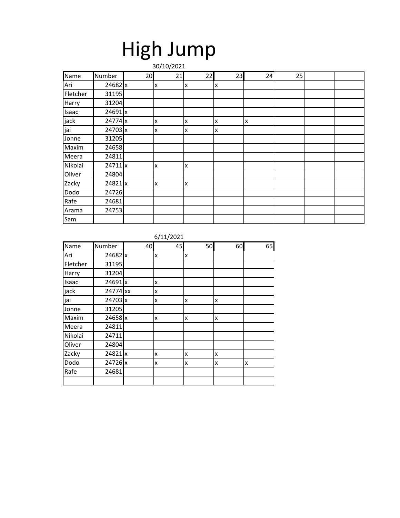## High Jump

|          | 30/10/2021 |    |    |    |    |    |    |  |  |  |
|----------|------------|----|----|----|----|----|----|--|--|--|
| Name     | Number     | 20 | 21 | 22 | 23 | 24 | 25 |  |  |  |
| Ari      | 24682 x    |    | x  | x  | X  |    |    |  |  |  |
| Fletcher | 31195      |    |    |    |    |    |    |  |  |  |
| Harry    | 31204      |    |    |    |    |    |    |  |  |  |
| Isaac    | 24691 x    |    |    |    |    |    |    |  |  |  |
| jack     | 24774 x    |    | X  | X  | x  | Ιx |    |  |  |  |
| jai      | 24703 x    |    | X  | x  | X  |    |    |  |  |  |
| Jonne    | 31205      |    |    |    |    |    |    |  |  |  |
| Maxim    | 24658      |    |    |    |    |    |    |  |  |  |
| Meera    | 24811      |    |    |    |    |    |    |  |  |  |
| Nikolai  | 24711 x    |    | X  | X  |    |    |    |  |  |  |
| Oliver   | 24804      |    |    |    |    |    |    |  |  |  |
| Zacky    | 24821 x    |    | x  | X  |    |    |    |  |  |  |
| Dodo     | 24726      |    |    |    |    |    |    |  |  |  |
| Rafe     | 24681      |    |    |    |    |    |    |  |  |  |
| Arama    | 24753      |    |    |    |    |    |    |  |  |  |
| Sam      |            |    |    |    |    |    |    |  |  |  |

| Name     | Number    | 40 | 45 | 50 | 60 | 65 |
|----------|-----------|----|----|----|----|----|
| Ari      | 24682 x   |    | x  | x  |    |    |
| Fletcher | 31195     |    |    |    |    |    |
| Harry    | 31204     |    |    |    |    |    |
| Isaac    | 24691 x   |    | x  |    |    |    |
| jack     | 24774 xx  |    | x  |    |    |    |
| jai      | 24703 x   |    | x  | x  | x  |    |
| Jonne    | 31205     |    |    |    |    |    |
| Maxim    | $24658$ x |    | x  | x  | x  |    |
| Meera    | 24811     |    |    |    |    |    |
| Nikolai  | 24711     |    |    |    |    |    |
| Oliver   | 24804     |    |    |    |    |    |
| Zacky    | 24821 x   |    | x  | X  | x  |    |
| Dodo     | 24726 x   |    | x  | X  | x  | X  |
| Rafe     | 24681     |    |    |    |    |    |
|          |           |    |    |    |    |    |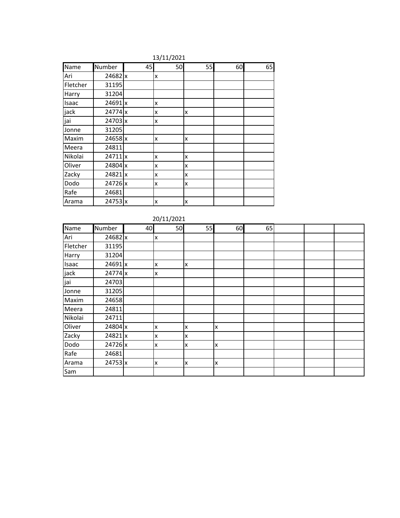| 13/11/2021 |           |    |    |    |    |    |  |  |  |  |  |
|------------|-----------|----|----|----|----|----|--|--|--|--|--|
| Name       | Number    | 45 | 50 | 55 | 60 | 65 |  |  |  |  |  |
| Ari        | 24682 x   |    | x  |    |    |    |  |  |  |  |  |
| Fletcher   | 31195     |    |    |    |    |    |  |  |  |  |  |
| Harry      | 31204     |    |    |    |    |    |  |  |  |  |  |
| Isaac      | 24691x    |    | x  |    |    |    |  |  |  |  |  |
| jack       | $24774$ x |    | x  | X  |    |    |  |  |  |  |  |
| jai        | 24703 x   |    | x  |    |    |    |  |  |  |  |  |
| Jonne      | 31205     |    |    |    |    |    |  |  |  |  |  |
| Maxim      | 24658 x   |    | x  | x  |    |    |  |  |  |  |  |
| Meera      | 24811     |    |    |    |    |    |  |  |  |  |  |
| Nikolai    | 24711x    |    | x  | X  |    |    |  |  |  |  |  |
| Oliver     | 24804 x   |    | x  | X  |    |    |  |  |  |  |  |
| Zacky      | 24821x    |    | x  | X  |    |    |  |  |  |  |  |
| Dodo       | 24726 x   |    | x  | x  |    |    |  |  |  |  |  |
| Rafe       | 24681     |    |    |    |    |    |  |  |  |  |  |
| Arama      | 24753x    |    | x  | X  |    |    |  |  |  |  |  |

|          | 20/11/2021 |    |    |    |    |    |  |  |  |  |
|----------|------------|----|----|----|----|----|--|--|--|--|
| Name     | Number     | 40 | 50 | 55 | 60 | 65 |  |  |  |  |
| Ari      | 24682x     |    | x  |    |    |    |  |  |  |  |
| Fletcher | 31195      |    |    |    |    |    |  |  |  |  |
| Harry    | 31204      |    |    |    |    |    |  |  |  |  |
| Isaac    | 24691 x    |    | x  | x  |    |    |  |  |  |  |
| jack     | 24774 x    |    | X  |    |    |    |  |  |  |  |
| jai      | 24703      |    |    |    |    |    |  |  |  |  |
| Jonne    | 31205      |    |    |    |    |    |  |  |  |  |
| Maxim    | 24658      |    |    |    |    |    |  |  |  |  |
| Meera    | 24811      |    |    |    |    |    |  |  |  |  |
| Nikolai  | 24711      |    |    |    |    |    |  |  |  |  |
| Oliver   | 24804 x    |    | X  | X  | X  |    |  |  |  |  |
| Zacky    | 24821x     |    | X  | X  |    |    |  |  |  |  |
| Dodo     | 24726 x    |    | x  | x  | X  |    |  |  |  |  |
| Rafe     | 24681      |    |    |    |    |    |  |  |  |  |
| Arama    | 24753x     |    | X  | X  | X  |    |  |  |  |  |
| Sam      |            |    |    |    |    |    |  |  |  |  |

|  | 0/11/2021 |  |  |
|--|-----------|--|--|
|  |           |  |  |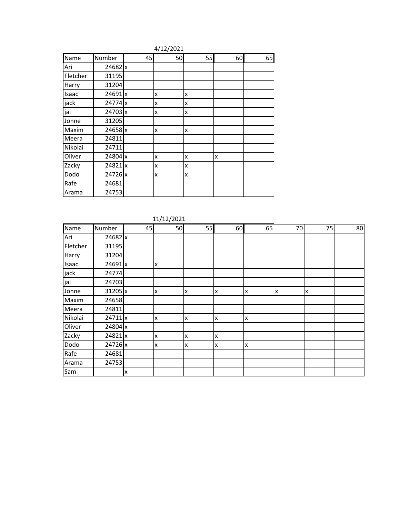| 4/12/2021 |           |    |              |    |    |    |  |  |  |  |
|-----------|-----------|----|--------------|----|----|----|--|--|--|--|
| Name      | Number    | 45 | 50           | 55 | 60 | 65 |  |  |  |  |
| Ari       | 24682 x   |    |              |    |    |    |  |  |  |  |
| Fletcher  | 31195     |    |              |    |    |    |  |  |  |  |
| Harry     | 31204     |    |              |    |    |    |  |  |  |  |
| Isaac     | 24691 x   |    | $\mathsf{x}$ | X  |    |    |  |  |  |  |
| jack      | 24774 x   |    | x            | x  |    |    |  |  |  |  |
| jai       | 24703 x   |    | x            | x  |    |    |  |  |  |  |
| Jonne     | 31205     |    |              |    |    |    |  |  |  |  |
| Maxim     | $24658$ x |    | $\mathsf{x}$ | x  |    |    |  |  |  |  |
| Meera     | 24811     |    |              |    |    |    |  |  |  |  |
| Nikolai   | 24711     |    |              |    |    |    |  |  |  |  |
| Oliver    | 24804 x   |    | x            | x  | x  |    |  |  |  |  |
| Zacky     | 24821 x   |    | X            | x  |    |    |  |  |  |  |
| Dodo      | 24726 x   |    | $\mathsf{x}$ | X  |    |    |  |  |  |  |
| Rafe      | 24681     |    |              |    |    |    |  |  |  |  |
| Arama     | 24753     |    |              |    |    |    |  |  |  |  |

| Name        | Number  | 45 | 50 | 55 | 60 | 65 | 70 | 75 | 80 |
|-------------|---------|----|----|----|----|----|----|----|----|
| Ari         | 24682 x |    |    |    |    |    |    |    |    |
| Fletcher    | 31195   |    |    |    |    |    |    |    |    |
| Harry       | 31204   |    |    |    |    |    |    |    |    |
| Isaac       | 24691 x |    | X  |    |    |    |    |    |    |
|             | 24774   |    |    |    |    |    |    |    |    |
| jack<br>jai | 24703   |    |    |    |    |    |    |    |    |
| Jonne       | 31205 x |    | X  | Ιx | X  | x  | X  | x  |    |
| Maxim       | 24658   |    |    |    |    |    |    |    |    |
| Meera       | 24811   |    |    |    |    |    |    |    |    |
| Nikolai     | 24711 x |    | X  | X  | X  | X  |    |    |    |
| Oliver      | 24804 x |    |    |    |    |    |    |    |    |
| Zacky       | 24821 x |    | X  | X  | Χ  |    |    |    |    |
| Dodo        | 24726 x |    | X  | x  | x  | Χ  |    |    |    |
| Rafe        | 24681   |    |    |    |    |    |    |    |    |
| Arama       | 24753   |    |    |    |    |    |    |    |    |
| Sam         |         | x  |    |    |    |    |    |    |    |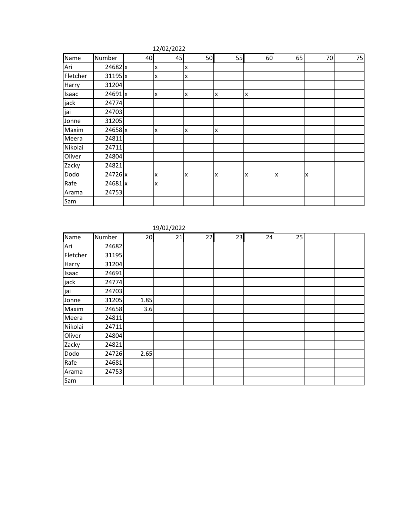|          |         |    | $\mathbf{r}$ |    |    |    |    |    |    |
|----------|---------|----|--------------|----|----|----|----|----|----|
| Name     | Number  | 40 | 45           | 50 | 55 | 60 | 65 | 70 | 75 |
| Ari      | 24682 x |    | x            | X  |    |    |    |    |    |
| Fletcher | 31195 x |    | IX.          | X  |    |    |    |    |    |
| Harry    | 31204   |    |              |    |    |    |    |    |    |
| Isaac    | 24691 x |    | x            | X  | X  | x  |    |    |    |
| jack     | 24774   |    |              |    |    |    |    |    |    |
| jai      | 24703   |    |              |    |    |    |    |    |    |
| Jonne    | 31205   |    |              |    |    |    |    |    |    |
| Maxim    | 24658 x |    | X            | X  | X  |    |    |    |    |
| Meera    | 24811   |    |              |    |    |    |    |    |    |
| Nikolai  | 24711   |    |              |    |    |    |    |    |    |
| Oliver   | 24804   |    |              |    |    |    |    |    |    |
| Zacky    | 24821   |    |              |    |    |    |    |    |    |
| Dodo     | 24726 x |    | X            | X  | X  | X  | X  | X  |    |
| Rafe     | 24681 x |    | x            |    |    |    |    |    |    |
| Arama    | 24753   |    |              |    |    |    |    |    |    |
| Sam      |         |    |              |    |    |    |    |    |    |

#### 12/02/2022

#### 19/02/2022

| Name     | Number | 20   | 21 | 22 | 23 | 24 | 25 |  |
|----------|--------|------|----|----|----|----|----|--|
| Ari      | 24682  |      |    |    |    |    |    |  |
| Fletcher | 31195  |      |    |    |    |    |    |  |
| Harry    | 31204  |      |    |    |    |    |    |  |
| Isaac    | 24691  |      |    |    |    |    |    |  |
| jack     | 24774  |      |    |    |    |    |    |  |
| jai      | 24703  |      |    |    |    |    |    |  |
| Jonne    | 31205  | 1.85 |    |    |    |    |    |  |
| Maxim    | 24658  | 3.6  |    |    |    |    |    |  |
| Meera    | 24811  |      |    |    |    |    |    |  |
| Nikolai  | 24711  |      |    |    |    |    |    |  |
| Oliver   | 24804  |      |    |    |    |    |    |  |
| Zacky    | 24821  |      |    |    |    |    |    |  |
| Dodo     | 24726  | 2.65 |    |    |    |    |    |  |
| Rafe     | 24681  |      |    |    |    |    |    |  |
| Arama    | 24753  |      |    |    |    |    |    |  |
| Sam      |        |      |    |    |    |    |    |  |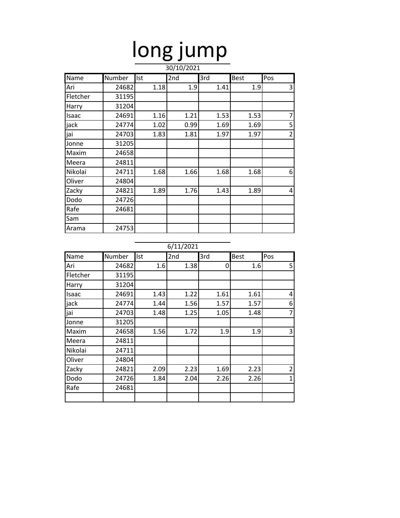# long jump

|          | 30/10/2021 |      |      |      |      |                |  |  |  |
|----------|------------|------|------|------|------|----------------|--|--|--|
| Name     | Number     | Ist  | 2nd  | 3rd  | Best | Pos            |  |  |  |
| Ari      | 24682      | 1.18 | 1.9  | 1.41 | 1.9  | 3              |  |  |  |
| Fletcher | 31195      |      |      |      |      |                |  |  |  |
| Harry    | 31204      |      |      |      |      |                |  |  |  |
| Isaac    | 24691      | 1.16 | 1.21 | 1.53 | 1.53 | 7              |  |  |  |
| jack     | 24774      | 1.02 | 0.99 | 1.69 | 1.69 | 5              |  |  |  |
| jai      | 24703      | 1.83 | 1.81 | 1.97 | 1.97 | $\overline{2}$ |  |  |  |
| Jonne    | 31205      |      |      |      |      |                |  |  |  |
| Maxim    | 24658      |      |      |      |      |                |  |  |  |
| Meera    | 24811      |      |      |      |      |                |  |  |  |
| Nikolai  | 24711      | 1.68 | 1.66 | 1.68 | 1.68 | 6              |  |  |  |
| Oliver   | 24804      |      |      |      |      |                |  |  |  |
| Zacky    | 24821      | 1.89 | 1.76 | 1.43 | 1.89 | 4              |  |  |  |
| Dodo     | 24726      |      |      |      |      |                |  |  |  |
| Rafe     | 24681      |      |      |      |      |                |  |  |  |
| Sam      |            |      |      |      |      |                |  |  |  |
| Arama    | 24753      |      |      |      |      |                |  |  |  |

| Name     | Number | Ist  | 2nd  | 3rd  | <b>Best</b> | Pos            |
|----------|--------|------|------|------|-------------|----------------|
| Ari      | 24682  | 1.6  | 1.38 | 0    | 1.6         | 5              |
| Fletcher | 31195  |      |      |      |             |                |
| Harry    | 31204  |      |      |      |             |                |
| Isaac    | 24691  | 1.43 | 1.22 | 1.61 | 1.61        | 4              |
| jack     | 24774  | 1.44 | 1.56 | 1.57 | 1.57        | 6              |
| jai      | 24703  | 1.48 | 1.25 | 1.05 | 1.48        | $\overline{7}$ |
| Jonne    | 31205  |      |      |      |             |                |
| Maxim    | 24658  | 1.56 | 1.72 | 1.9  | 1.9         | 3              |
| Meera    | 24811  |      |      |      |             |                |
| Nikolai  | 24711  |      |      |      |             |                |
| Oliver   | 24804  |      |      |      |             |                |
| Zacky    | 24821  | 2.09 | 2.23 | 1.69 | 2.23        | $\overline{2}$ |
| Dodo     | 24726  | 1.84 | 2.04 | 2.26 | 2.26        | 1              |
| Rafe     | 24681  |      |      |      |             |                |
|          |        |      |      |      |             |                |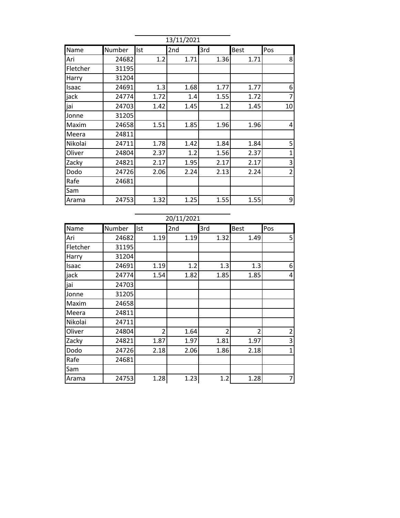|          | 13/11/2021 |      |      |      |             |                |  |  |  |  |
|----------|------------|------|------|------|-------------|----------------|--|--|--|--|
| Name     | Number     | Ist  | 2nd  | 3rd  | <b>Best</b> | Pos            |  |  |  |  |
| Ari      | 24682      | 1.2  | 1.71 | 1.36 | 1.71        | 8              |  |  |  |  |
| Fletcher | 31195      |      |      |      |             |                |  |  |  |  |
| Harry    | 31204      |      |      |      |             |                |  |  |  |  |
| Isaac    | 24691      | 1.3  | 1.68 | 1.77 | 1.77        | 6              |  |  |  |  |
| jack     | 24774      | 1.72 | 1.4  | 1.55 | 1.72        | $\overline{7}$ |  |  |  |  |
| jai      | 24703      | 1.42 | 1.45 | 1.2  | 1.45        | 10             |  |  |  |  |
| Jonne    | 31205      |      |      |      |             |                |  |  |  |  |
| Maxim    | 24658      | 1.51 | 1.85 | 1.96 | 1.96        | 4              |  |  |  |  |
| Meera    | 24811      |      |      |      |             |                |  |  |  |  |
| Nikolai  | 24711      | 1.78 | 1.42 | 1.84 | 1.84        | 5              |  |  |  |  |
| Oliver   | 24804      | 2.37 | 1.2  | 1.56 | 2.37        | $\mathbf{1}$   |  |  |  |  |
| Zacky    | 24821      | 2.17 | 1.95 | 2.17 | 2.17        | 3              |  |  |  |  |
| Dodo     | 24726      | 2.06 | 2.24 | 2.13 | 2.24        | $\overline{2}$ |  |  |  |  |
| Rafe     | 24681      |      |      |      |             |                |  |  |  |  |
| Sam      |            |      |      |      |             |                |  |  |  |  |
| Arama    | 24753      | 1.32 | 1.25 | 1.55 | 1.55        | 9              |  |  |  |  |

|          | ZU/ 11/ ZUZ 1 |                |      |                |                |                |  |  |  |
|----------|---------------|----------------|------|----------------|----------------|----------------|--|--|--|
| Name     | Number        | Ist            | 2nd  | 3rd            | <b>Best</b>    | Pos            |  |  |  |
| Ari      | 24682         | 1.19           | 1.19 | 1.32           | 1.49           | 5              |  |  |  |
| Fletcher | 31195         |                |      |                |                |                |  |  |  |
| Harry    | 31204         |                |      |                |                |                |  |  |  |
| Isaac    | 24691         | 1.19           | 1.2  | 1.3            | 1.3            | 6              |  |  |  |
| jack     | 24774         | 1.54           | 1.82 | 1.85           | 1.85           | 4              |  |  |  |
| jai      | 24703         |                |      |                |                |                |  |  |  |
| Jonne    | 31205         |                |      |                |                |                |  |  |  |
| Maxim    | 24658         |                |      |                |                |                |  |  |  |
| Meera    | 24811         |                |      |                |                |                |  |  |  |
| Nikolai  | 24711         |                |      |                |                |                |  |  |  |
| Oliver   | 24804         | $\overline{2}$ | 1.64 | $\overline{2}$ | $\overline{2}$ | $\overline{c}$ |  |  |  |
| Zacky    | 24821         | 1.87           | 1.97 | 1.81           | 1.97           | 3              |  |  |  |
| Dodo     | 24726         | 2.18           | 2.06 | 1.86           | 2.18           | $\mathbf{1}$   |  |  |  |
| Rafe     | 24681         |                |      |                |                |                |  |  |  |
| Sam      |               |                |      |                |                |                |  |  |  |
| Arama    | 24753         | 1.28           | 1.23 | 1.2            | 1.28           | $\overline{7}$ |  |  |  |
|          |               |                |      |                |                |                |  |  |  |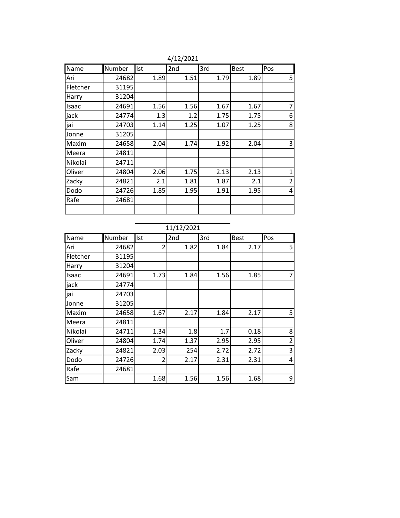| Name     | Number | Ist  | 2nd  | 3rd  | <b>Best</b> | Pos            |
|----------|--------|------|------|------|-------------|----------------|
| Ari      | 24682  | 1.89 | 1.51 | 1.79 | 1.89        | 5              |
| Fletcher | 31195  |      |      |      |             |                |
| Harry    | 31204  |      |      |      |             |                |
| Isaac    | 24691  | 1.56 | 1.56 | 1.67 | 1.67        | $\overline{7}$ |
| jack     | 24774  | 1.3  | 1.2  | 1.75 | 1.75        | 6              |
| jai      | 24703  | 1.14 | 1.25 | 1.07 | 1.25        | 8              |
| Jonne    | 31205  |      |      |      |             |                |
| Maxim    | 24658  | 2.04 | 1.74 | 1.92 | 2.04        | 3              |
| Meera    | 24811  |      |      |      |             |                |
| Nikolai  | 24711  |      |      |      |             |                |
| Oliver   | 24804  | 2.06 | 1.75 | 2.13 | 2.13        | $\mathbf{1}$   |
| Zacky    | 24821  | 2.1  | 1.81 | 1.87 | 2.1         | $\overline{2}$ |
| Dodo     | 24726  | 1.85 | 1.95 | 1.91 | 1.95        | 4              |
| Rafe     | 24681  |      |      |      |             |                |
|          |        |      |      |      |             |                |

4/12/2021

### 11/12/2021

| Name     | Number | Ist            | 2nd  | 3rd  | <b>Best</b> | Pos            |
|----------|--------|----------------|------|------|-------------|----------------|
| Ari      | 24682  | $\overline{2}$ | 1.82 | 1.84 | 2.17        | 5              |
| Fletcher | 31195  |                |      |      |             |                |
| Harry    | 31204  |                |      |      |             |                |
| Isaac    | 24691  | 1.73           | 1.84 | 1.56 | 1.85        | 7              |
| jack     | 24774  |                |      |      |             |                |
| jai      | 24703  |                |      |      |             |                |
| Jonne    | 31205  |                |      |      |             |                |
| Maxim    | 24658  | 1.67           | 2.17 | 1.84 | 2.17        | 5              |
| Meera    | 24811  |                |      |      |             |                |
| Nikolai  | 24711  | 1.34           | 1.8  | 1.7  | 0.18        | 8              |
| Oliver   | 24804  | 1.74           | 1.37 | 2.95 | 2.95        | $\overline{2}$ |
| Zacky    | 24821  | 2.03           | 254  | 2.72 | 2.72        | 3              |
| Dodo     | 24726  | $\overline{2}$ | 2.17 | 2.31 | 2.31        | 4              |
| Rafe     | 24681  |                |      |      |             |                |
| Sam      |        | 1.68           | 1.56 | 1.56 | 1.68        | 9              |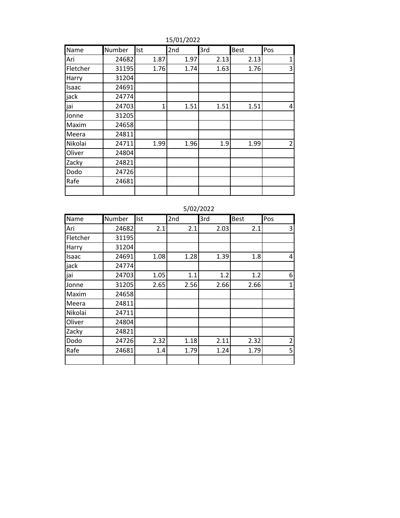| Name     | Number | Ist  | 2nd  | 3rd  | <b>Best</b> | Pos            |
|----------|--------|------|------|------|-------------|----------------|
| Ari      | 24682  | 1.87 | 1.97 | 2.13 | 2.13        | $\mathbf{1}$   |
| Fletcher | 31195  | 1.76 | 1.74 | 1.63 | 1.76        | 3              |
| Harry    | 31204  |      |      |      |             |                |
| Isaac    | 24691  |      |      |      |             |                |
| jack     | 24774  |      |      |      |             |                |
| jai      | 24703  | 1    | 1.51 | 1.51 | 1.51        | 4              |
| Jonne    | 31205  |      |      |      |             |                |
| Maxim    | 24658  |      |      |      |             |                |
| Meera    | 24811  |      |      |      |             |                |
| Nikolai  | 24711  | 1.99 | 1.96 | 1.9  | 1.99        | $\overline{2}$ |
| Oliver   | 24804  |      |      |      |             |                |
| Zacky    | 24821  |      |      |      |             |                |
| Dodo     | 24726  |      |      |      |             |                |
| Rafe     | 24681  |      |      |      |             |                |
|          |        |      |      |      |             |                |

15/01/2022

|          |        | $J\cup L\cup L\cup L$ |      |      |             |                |  |  |  |  |
|----------|--------|-----------------------|------|------|-------------|----------------|--|--|--|--|
| Name     | Number | Ist                   | 2nd  | 3rd  | <b>Best</b> | Pos            |  |  |  |  |
| Ari      | 24682  | 2.1                   | 2.1  | 2.03 | 2.1         | 3              |  |  |  |  |
| Fletcher | 31195  |                       |      |      |             |                |  |  |  |  |
| Harry    | 31204  |                       |      |      |             |                |  |  |  |  |
| Isaac    | 24691  | 1.08                  | 1.28 | 1.39 | 1.8         | $\overline{a}$ |  |  |  |  |
| jack     | 24774  |                       |      |      |             |                |  |  |  |  |
| jai      | 24703  | 1.05                  | 1.1  | 1.2  | 1.2         | 6              |  |  |  |  |
| Jonne    | 31205  | 2.65                  | 2.56 | 2.66 | 2.66        | $\mathbf{1}$   |  |  |  |  |
| Maxim    | 24658  |                       |      |      |             |                |  |  |  |  |
| Meera    | 24811  |                       |      |      |             |                |  |  |  |  |
| Nikolai  | 24711  |                       |      |      |             |                |  |  |  |  |
| Oliver   | 24804  |                       |      |      |             |                |  |  |  |  |
| Zacky    | 24821  |                       |      |      |             |                |  |  |  |  |
| Dodo     | 24726  | 2.32                  | 1.18 | 2.11 | 2.32        | $\overline{2}$ |  |  |  |  |
| Rafe     | 24681  | 1.4                   | 1.79 | 1.24 | 1.79        | 5              |  |  |  |  |
|          |        |                       |      |      |             |                |  |  |  |  |

#### 5/02/2022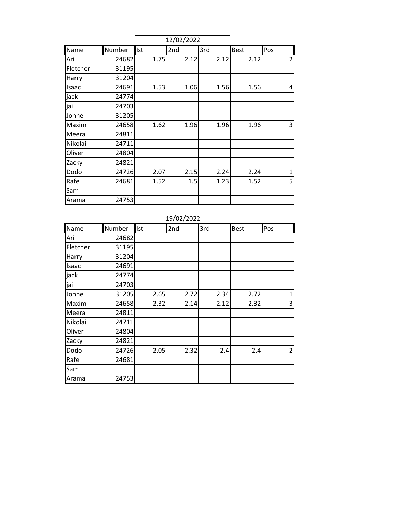|          |        |      | 12/02/2022 |      |             |                |
|----------|--------|------|------------|------|-------------|----------------|
| Name     | Number | Ist  | 2nd        | 3rd  | <b>Best</b> | Pos            |
| Ari      | 24682  | 1.75 | 2.12       | 2.12 | 2.12        | $\overline{2}$ |
| Fletcher | 31195  |      |            |      |             |                |
| Harry    | 31204  |      |            |      |             |                |
| Isaac    | 24691  | 1.53 | 1.06       | 1.56 | 1.56        | 4              |
| jack     | 24774  |      |            |      |             |                |
| jai      | 24703  |      |            |      |             |                |
| Jonne    | 31205  |      |            |      |             |                |
| Maxim    | 24658  | 1.62 | 1.96       | 1.96 | 1.96        | 3              |
| Meera    | 24811  |      |            |      |             |                |
| Nikolai  | 24711  |      |            |      |             |                |
| Oliver   | 24804  |      |            |      |             |                |
| Zacky    | 24821  |      |            |      |             |                |
| Dodo     | 24726  | 2.07 | 2.15       | 2.24 | 2.24        | $\mathbf 1$    |
| Rafe     | 24681  | 1.52 | 1.5        | 1.23 | 1.52        | 5              |
| Sam      |        |      |            |      |             |                |
| Arama    | 24753  |      |            |      |             |                |
|          |        |      |            |      |             |                |
|          |        |      | 19/02/2022 |      |             |                |
| Name     | Number | Ist  | 2nd        | 3rd  | <b>Best</b> | Pos            |
| Ari      | 24682  |      |            |      |             |                |
| Fletcher | 31195  |      |            |      |             |                |
| Harry    | 31204  |      |            |      |             |                |
| Isaac    | 24691  |      |            |      |             |                |
| jack     | 24774  |      |            |      |             |                |
| jai      | 24703  |      |            |      |             |                |
| Jonne    | 31205  | 2.65 | 2.72       | 2.34 | 2.72        | $\mathbf{1}$   |
| Maxim    | 24658  | 2.32 | 2.14       | 2.12 | 2.32        | $\overline{3}$ |
| Meera    | 24811  |      |            |      |             |                |
| Nikolai  | 24711  |      |            |      |             |                |
| Oliver   | 24804  |      |            |      |             |                |
| Zacky    | 24821  |      |            |      |             |                |
| Dodo     | 24726  | 2.05 | 2.32       | 2.4  | 2.4         | 2 <sup>1</sup> |

Rafe 24681

Arama 24753

Sam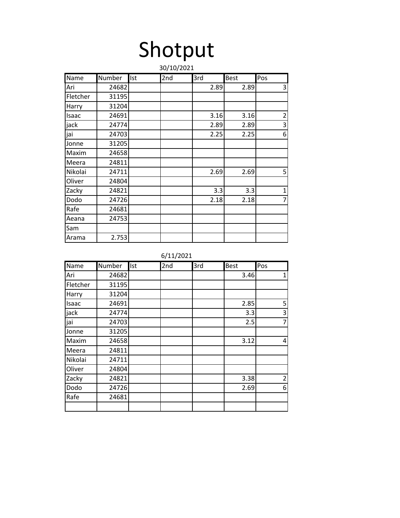# Shotput

|          | 30/10/2021 |     |     |      |             |                           |  |  |  |  |  |
|----------|------------|-----|-----|------|-------------|---------------------------|--|--|--|--|--|
| Name     | Number     | Ist | 2nd | 3rd  | <b>Best</b> | Pos                       |  |  |  |  |  |
| Ari      | 24682      |     |     | 2.89 | 2.89        | 3                         |  |  |  |  |  |
| Fletcher | 31195      |     |     |      |             |                           |  |  |  |  |  |
| Harry    | 31204      |     |     |      |             |                           |  |  |  |  |  |
| Isaac    | 24691      |     |     | 3.16 | 3.16        | $\overline{2}$            |  |  |  |  |  |
| jack     | 24774      |     |     | 2.89 | 2.89        | $\ensuremath{\mathsf{3}}$ |  |  |  |  |  |
| jai      | 24703      |     |     | 2.25 | 2.25        | 6                         |  |  |  |  |  |
| Jonne    | 31205      |     |     |      |             |                           |  |  |  |  |  |
| Maxim    | 24658      |     |     |      |             |                           |  |  |  |  |  |
| Meera    | 24811      |     |     |      |             |                           |  |  |  |  |  |
| Nikolai  | 24711      |     |     | 2.69 | 2.69        | 5                         |  |  |  |  |  |
| Oliver   | 24804      |     |     |      |             |                           |  |  |  |  |  |
| Zacky    | 24821      |     |     | 3.3  | 3.3         | $\mathbf 1$               |  |  |  |  |  |
| Dodo     | 24726      |     |     | 2.18 | 2.18        | $\overline{7}$            |  |  |  |  |  |
| Rafe     | 24681      |     |     |      |             |                           |  |  |  |  |  |
| Aeana    | 24753      |     |     |      |             |                           |  |  |  |  |  |
| Sam      |            |     |     |      |             |                           |  |  |  |  |  |
| Arama    | 2.753      |     |     |      |             |                           |  |  |  |  |  |

6/11/2021

| Name     | Number | Ist | 2nd | 3rd | <b>Best</b> | Pos            |
|----------|--------|-----|-----|-----|-------------|----------------|
| Ari      | 24682  |     |     |     | 3.46        | $\mathbf{1}$   |
| Fletcher | 31195  |     |     |     |             |                |
| Harry    | 31204  |     |     |     |             |                |
| Isaac    | 24691  |     |     |     | 2.85        | 5              |
| jack     | 24774  |     |     |     | 3.3         | 3              |
| jai      | 24703  |     |     |     | 2.5         | $\overline{7}$ |
| Jonne    | 31205  |     |     |     |             |                |
| Maxim    | 24658  |     |     |     | 3.12        | $\overline{a}$ |
| Meera    | 24811  |     |     |     |             |                |
| Nikolai  | 24711  |     |     |     |             |                |
| Oliver   | 24804  |     |     |     |             |                |
| Zacky    | 24821  |     |     |     | 3.38        | $\overline{2}$ |
| Dodo     | 24726  |     |     |     | 2.69        | 6              |
| Rafe     | 24681  |     |     |     |             |                |
|          |        |     |     |     |             |                |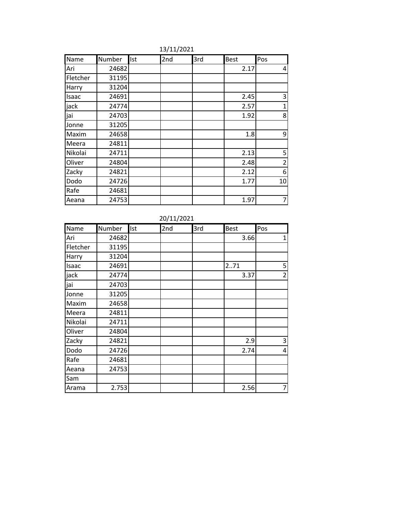| Name     | Number | Ist | 2nd | 3rd | Best | Pos            |
|----------|--------|-----|-----|-----|------|----------------|
| Ari      | 24682  |     |     |     | 2.17 | 4              |
| Fletcher | 31195  |     |     |     |      |                |
| Harry    | 31204  |     |     |     |      |                |
| Isaac    | 24691  |     |     |     | 2.45 | 3              |
| jack     | 24774  |     |     |     | 2.57 | 1              |
| jai      | 24703  |     |     |     | 1.92 | 8              |
| Jonne    | 31205  |     |     |     |      |                |
| Maxim    | 24658  |     |     |     | 1.8  | 9              |
| Meera    | 24811  |     |     |     |      |                |
| Nikolai  | 24711  |     |     |     | 2.13 | 5              |
| Oliver   | 24804  |     |     |     | 2.48 | $\overline{2}$ |
| Zacky    | 24821  |     |     |     | 2.12 | 6              |
| Dodo     | 24726  |     |     |     | 1.77 | 10             |
| Rafe     | 24681  |     |     |     |      |                |
| Aeana    | 24753  |     |     |     | 1.97 | 7              |

13/11/2021

20/11/2021

| Name     | Number | <b>Ist</b> | 2nd | 3rd | Best | Pos            |
|----------|--------|------------|-----|-----|------|----------------|
| Ari      | 24682  |            |     |     | 3.66 | $\mathbf{1}$   |
| Fletcher | 31195  |            |     |     |      |                |
| Harry    | 31204  |            |     |     |      |                |
| Isaac    | 24691  |            |     |     | 271  | 5              |
| jack     | 24774  |            |     |     | 3.37 | $\overline{2}$ |
| jai      | 24703  |            |     |     |      |                |
| Jonne    | 31205  |            |     |     |      |                |
| Maxim    | 24658  |            |     |     |      |                |
| Meera    | 24811  |            |     |     |      |                |
| Nikolai  | 24711  |            |     |     |      |                |
| Oliver   | 24804  |            |     |     |      |                |
| Zacky    | 24821  |            |     |     | 2.9  | 3              |
| Dodo     | 24726  |            |     |     | 2.74 | 4              |
| Rafe     | 24681  |            |     |     |      |                |
| Aeana    | 24753  |            |     |     |      |                |
| Sam      |        |            |     |     |      |                |
| Arama    | 2.753  |            |     |     | 2.56 | 7              |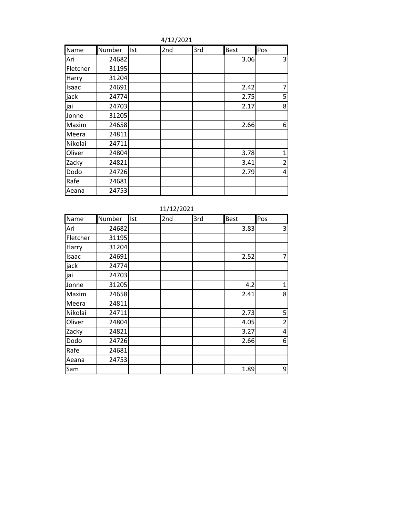| Name     | Number | Ist | 2nd | 3rd | <b>Best</b> | Pos            |
|----------|--------|-----|-----|-----|-------------|----------------|
| Ari      | 24682  |     |     |     | 3.06        | 3              |
| Fletcher | 31195  |     |     |     |             |                |
| Harry    | 31204  |     |     |     |             |                |
| Isaac    | 24691  |     |     |     | 2.42        | $\overline{7}$ |
| jack     | 24774  |     |     |     | 2.75        | 5              |
| jai      | 24703  |     |     |     | 2.17        | 8              |
| Jonne    | 31205  |     |     |     |             |                |
| Maxim    | 24658  |     |     |     | 2.66        | 6              |
| Meera    | 24811  |     |     |     |             |                |
| Nikolai  | 24711  |     |     |     |             |                |
| Oliver   | 24804  |     |     |     | 3.78        | 1              |
| Zacky    | 24821  |     |     |     | 3.41        | $\overline{2}$ |
| Dodo     | 24726  |     |     |     | 2.79        | 4              |
| Rafe     | 24681  |     |     |     |             |                |
| Aeana    | 24753  |     |     |     |             |                |

|  | 4/12/2021 |
|--|-----------|
|--|-----------|

|          | 11/12/2021 |     |     |     |      |                |  |  |
|----------|------------|-----|-----|-----|------|----------------|--|--|
| Name     | Number     | Ist | 2nd | 3rd | Best | Pos            |  |  |
| Ari      | 24682      |     |     |     | 3.83 | 3              |  |  |
| Fletcher | 31195      |     |     |     |      |                |  |  |
| Harry    | 31204      |     |     |     |      |                |  |  |
| Isaac    | 24691      |     |     |     | 2.52 | $\overline{7}$ |  |  |
| jack     | 24774      |     |     |     |      |                |  |  |
| jai      | 24703      |     |     |     |      |                |  |  |
| Jonne    | 31205      |     |     |     | 4.2  | $\mathbf{1}$   |  |  |
| Maxim    | 24658      |     |     |     | 2.41 | 8              |  |  |
| Meera    | 24811      |     |     |     |      |                |  |  |
| Nikolai  | 24711      |     |     |     | 2.73 | 5              |  |  |
| Oliver   | 24804      |     |     |     | 4.05 | $\overline{2}$ |  |  |
| Zacky    | 24821      |     |     |     | 3.27 | 4              |  |  |
| Dodo     | 24726      |     |     |     | 2.66 | 6              |  |  |
| Rafe     | 24681      |     |     |     |      |                |  |  |
| Aeana    | 24753      |     |     |     |      |                |  |  |
| Sam      |            |     |     |     | 1.89 | 9              |  |  |

11/12/2021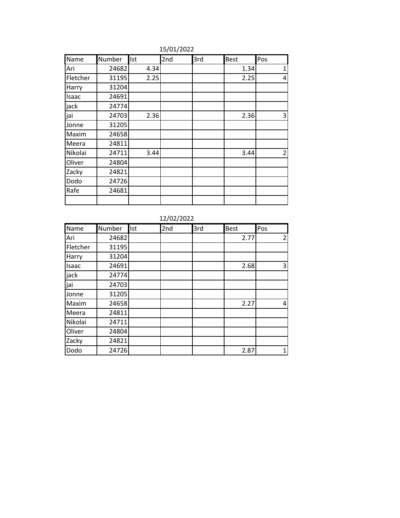| Name     | Number | Ist  | 2nd | 3rd | Best | Pos            |
|----------|--------|------|-----|-----|------|----------------|
| Ari      | 24682  | 4.34 |     |     | 1.34 | $\mathbf{1}$   |
| Fletcher | 31195  | 2.25 |     |     | 2.25 | 4              |
| Harry    | 31204  |      |     |     |      |                |
| Isaac    | 24691  |      |     |     |      |                |
| jack     | 24774  |      |     |     |      |                |
| jai      | 24703  | 2.36 |     |     | 2.36 | 3              |
| Jonne    | 31205  |      |     |     |      |                |
| Maxim    | 24658  |      |     |     |      |                |
| Meera    | 24811  |      |     |     |      |                |
| Nikolai  | 24711  | 3.44 |     |     | 3.44 | $\overline{2}$ |
| Oliver   | 24804  |      |     |     |      |                |
| Zacky    | 24821  |      |     |     |      |                |
| Dodo     | 24726  |      |     |     |      |                |
| Rafe     | 24681  |      |     |     |      |                |
|          |        |      |     |     |      |                |

15/01/2022

12/02/2022

| Name     | Number | Ist | 2nd | 3rd | <b>Best</b> | Pos            |
|----------|--------|-----|-----|-----|-------------|----------------|
| Ari      | 24682  |     |     |     | 2.77        | $\overline{2}$ |
| Fletcher | 31195  |     |     |     |             |                |
| Harry    | 31204  |     |     |     |             |                |
| Isaac    | 24691  |     |     |     | 2.68        | 3              |
| jack     | 24774  |     |     |     |             |                |
| jai      | 24703  |     |     |     |             |                |
| Jonne    | 31205  |     |     |     |             |                |
| Maxim    | 24658  |     |     |     | 2.27        | $\overline{4}$ |
| Meera    | 24811  |     |     |     |             |                |
| Nikolai  | 24711  |     |     |     |             |                |
| Oliver   | 24804  |     |     |     |             |                |
| Zacky    | 24821  |     |     |     |             |                |
| Dodo     | 24726  |     |     |     | 2.87        | $\mathbf{1}$   |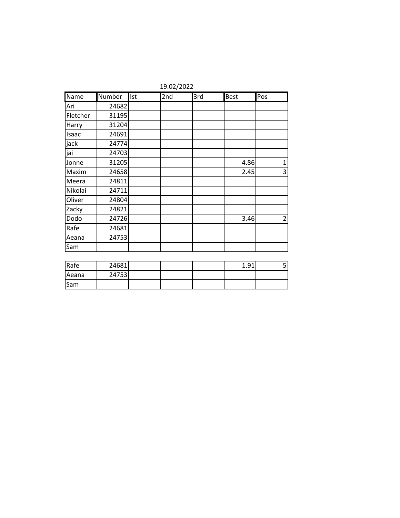|          | 19.02/2022 |     |     |     |             |                |  |  |
|----------|------------|-----|-----|-----|-------------|----------------|--|--|
| Name     | Number     | Ist | 2nd | 3rd | <b>Best</b> | Pos            |  |  |
| Ari      | 24682      |     |     |     |             |                |  |  |
| Fletcher | 31195      |     |     |     |             |                |  |  |
| Harry    | 31204      |     |     |     |             |                |  |  |
| Isaac    | 24691      |     |     |     |             |                |  |  |
| jack     | 24774      |     |     |     |             |                |  |  |
| jai      | 24703      |     |     |     |             |                |  |  |
| Jonne    | 31205      |     |     |     | 4.86        | $\mathbf 1$    |  |  |
| Maxim    | 24658      |     |     |     | 2.45        | 3              |  |  |
| Meera    | 24811      |     |     |     |             |                |  |  |
| Nikolai  | 24711      |     |     |     |             |                |  |  |
| Oliver   | 24804      |     |     |     |             |                |  |  |
| Zacky    | 24821      |     |     |     |             |                |  |  |
| Dodo     | 24726      |     |     |     | 3.46        | $\overline{2}$ |  |  |
| Rafe     | 24681      |     |     |     |             |                |  |  |
| Aeana    | 24753      |     |     |     |             |                |  |  |
| Sam      |            |     |     |     |             |                |  |  |
|          |            |     |     |     |             |                |  |  |
| Rafe     | 24681      |     |     |     | 1.91        | $\overline{5}$ |  |  |
| Aeana    | 24753      |     |     |     |             |                |  |  |

Sam